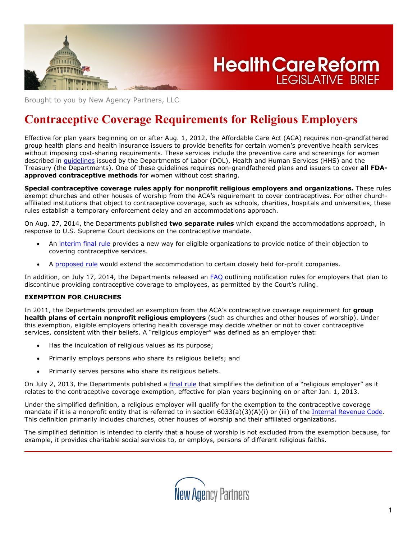

**Health Care Reform LEGISLATIVE BRIEF** 

Brought to you by New Agency Partners, LLC

# **Contraceptive Coverage Requirements for Religious Employers**

Effective for plan years beginning on or after Aug. 1, 2012, the Affordable Care Act (ACA) requires non-grandfathered group health plans and health insurance issuers to provide benefits for certain women's preventive health services without imposing cost-sharing requirements. These services include the preventive care and screenings for women described in *[guidelines](https://www.healthcare.gov/what-are-my-preventive-care-benefits)* issued by the Departments of Labor (DOL), Health and Human Services (HHS) and the Treasury (the Departments). One of these guidelines requires non-grandfathered plans and issuers to cover **all FDAapproved contraceptive methods** for women without cost sharing.

**Special contraceptive coverage rules apply for nonprofit religious employers and organizations.** These rules exempt churches and other houses of worship from the ACA's requirement to cover contraceptives. For other churchaffiliated institutions that object to contraceptive coverage, such as schools, charities, hospitals and universities, these rules establish a temporary enforcement delay and an accommodations approach.

On Aug. 27, 2014, the Departments published **two separate rules** which expand the accommodations approach, in response to U.S. Supreme Court decisions on the contraceptive mandate.

- An [interim](https://www.federalregister.gov/articles/2014/08/27/2014-20252/coverage-of-certain-preventive-services-under-the-affordable-care-act) [final](https://www.federalregister.gov/articles/2014/08/27/2014-20252/coverage-of-certain-preventive-services-under-the-affordable-care-act) [rule](https://www.federalregister.gov/articles/2014/08/27/2014-20252/coverage-of-certain-preventive-services-under-the-affordable-care-act) provides a new way for eligible organizations to provide notice of their objection to covering contraceptive services.
- A [proposed](https://www.federalregister.gov/articles/2014/08/27/2014-20254/coverage-of-certain-preventive-services-under-the-affordable-care-act) [rule](https://www.federalregister.gov/articles/2014/08/27/2014-20254/coverage-of-certain-preventive-services-under-the-affordable-care-act) would extend the accommodation to certain closely held for-profit companies.

In addition, on July 17, 2014, the Departments released an FAO outlining notification rules for employers that plan to discontinue providing contraceptive coverage to employees, as permitted by the Court's ruling.

#### **EXEMPTION FOR CHURCHES**

In 2011, the Departments provided an exemption from the ACA's contraceptive coverage requirement for **group health plans of certain nonprofit religious employers** (such as churches and other houses of worship). Under this exemption, eligible employers offering health coverage may decide whether or not to cover contraceptive services, consistent with their beliefs. A "religious employer" was defined as an employer that:

- Has the inculcation of religious values as its purpose;
- Primarily employs persons who share its religious beliefs; and
- Primarily serves persons who share its religious beliefs.

On July 2, 2013, the Departments published a [final](http://www.gpo.gov/fdsys/pkg/FR-2013-07-02/pdf/2013-15866.pdf) [rule](http://www.gpo.gov/fdsys/pkg/FR-2013-07-02/pdf/2013-15866.pdf) that simplifies the definition of a "religious employer" as it relates to the contraceptive coverage exemption, effective for plan years beginning on or after Jan. 1, 2013.

Under the simplified definition, a religious employer will qualify for the exemption to the contraceptive coverage mandate if it is a nonprofit entity that is referred to in section 6033(a)(3)(A)(i) or (iii) of the [Internal](http://www.law.cornell.edu/uscode/text/26/6033) [Revenue](http://www.law.cornell.edu/uscode/text/26/6033) [Code.](http://www.law.cornell.edu/uscode/text/26/6033) This definition primarily includes churches, other houses of worship and their affiliated organizations.

The simplified definition is intended to clarify that a house of worship is not excluded from the exemption because, for example, it provides charitable social services to, or employs, persons of different religious faiths.

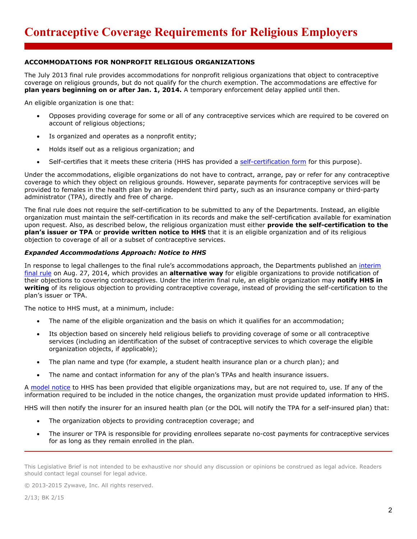# **ACCOMMODATIONS FOR NONPROFIT RELIGIOUS ORGANIZATIONS**

The July 2013 final rule provides accommodations for nonprofit religious organizations that object to contraceptive coverage on religious grounds, but do not qualify for the church exemption. The accommodations are effective for **plan years beginning on or after Jan. 1, 2014.** A temporary enforcement delay applied until then.

An eligible organization is one that:

- Opposes providing coverage for some or all of any contraceptive services which are required to be covered on account of religious objections;
- Is organized and operates as a nonprofit entity;
- Holds itself out as a religious organization; and
- Self-certifies that it meets these criteria (HHS has provided a [self-certification](http://links.govdelivery.com/track?type=click&enid=ZWFzPTEmbWFpbGluZ2lkPTIwMTMwNjI4LjIwNTIwODQxJm1lc3NhZ2VpZD1NREItUFJELUJVTC0yMDEzMDYyOC4yMDUyMDg0MSZkYXRhYmFzZWlkPTEwMDEmc2VyaWFsPTE3NjQ5NDIyJmVtYWlsaWQ9ZXJpY2Euc3Rvcm1Aenl3YXZlLmNvbSZ1c2VyaWQ9ZXJpY2Euc3Rvcm1Aenl3YXZlLmNvbSZmbD0mZXh0cmE9TXVsdGl2YXJpYXRlSWQ9JiYm&&&104&&&http://www.dol.gov/ebsa/preventiveserviceseligibleorganizationcertificationform.doc) [form](http://links.govdelivery.com/track?type=click&enid=ZWFzPTEmbWFpbGluZ2lkPTIwMTMwNjI4LjIwNTIwODQxJm1lc3NhZ2VpZD1NREItUFJELUJVTC0yMDEzMDYyOC4yMDUyMDg0MSZkYXRhYmFzZWlkPTEwMDEmc2VyaWFsPTE3NjQ5NDIyJmVtYWlsaWQ9ZXJpY2Euc3Rvcm1Aenl3YXZlLmNvbSZ1c2VyaWQ9ZXJpY2Euc3Rvcm1Aenl3YXZlLmNvbSZmbD0mZXh0cmE9TXVsdGl2YXJpYXRlSWQ9JiYm&&&104&&&http://www.dol.gov/ebsa/preventiveserviceseligibleorganizationcertificationform.doc) for this purpose).

Under the accommodations, eligible organizations do not have to contract, arrange, pay or refer for any contraceptive coverage to which they object on religious grounds. However, separate payments for contraceptive services will be provided to females in the health plan by an independent third party, such as an insurance company or third-party administrator (TPA), directly and free of charge.

The final rule does not require the self-certification to be submitted to any of the Departments. Instead, an eligible organization must maintain the self-certification in its records and make the self-certification available for examination upon request. Also, as described below, the religious organization must either **provide the self-certification to the plan's issuer or TPA** or **provide written notice to HHS** that it is an eligible organization and of its religious objection to coverage of all or a subset of contraceptive services.

#### *Expanded Accommodations Approach: Notice to HHS*

In response to legal challenges to the final rule's accommodations approach, the Departments published an [interim](https://www.federalregister.gov/articles/2014/08/27/2014-20252/coverage-of-certain-preventive-services-under-the-affordable-care-act) [final](https://www.federalregister.gov/articles/2014/08/27/2014-20252/coverage-of-certain-preventive-services-under-the-affordable-care-act) [rule](https://www.federalregister.gov/articles/2014/08/27/2014-20252/coverage-of-certain-preventive-services-under-the-affordable-care-act) on Aug. 27, 2014, which provides an **alternative way** for eligible organizations to provide notification of their objections to covering contraceptives. Under the interim final rule, an eligible organization may **notify HHS in writing** of its religious objection to providing contraceptive coverage, instead of providing the self-certification to the plan's issuer or TPA.

The notice to HHS must, at a minimum, include:

- The name of the eligible organization and the basis on which it qualifies for an accommodation;
- Its objection based on sincerely held religious beliefs to providing coverage of some or all contraceptive services (including an identification of the subset of contraceptive services to which coverage the eligible organization objects, if applicable);
- The plan name and type (for example, a student health insurance plan or a church plan); and
- The name and contact information for any of the plan's TPAs and health insurance issuers.

A [model](http://www.cms.gov/CCIIO/Resources/Regulations-and-Guidance/Downloads/Model-Notice-8-22-14.pdf) [notice](http://www.cms.gov/CCIIO/Resources/Regulations-and-Guidance/Downloads/Model-Notice-8-22-14.pdf) to HHS has been provided that eligible organizations may, but are not required to, use. If any of the information required to be included in the notice changes, the organization must provide updated information to HHS.

HHS will then notify the insurer for an insured health plan (or the DOL will notify the TPA for a self-insured plan) that:

- The organization objects to providing contraception coverage; and
- The insurer or TPA is responsible for providing enrollees separate no-cost payments for contraceptive services for as long as they remain enrolled in the plan.

This Legislative Brief is not intended to be exhaustive nor should any discussion or opinions be construed as legal advice. Readers should contact legal counsel for legal advice.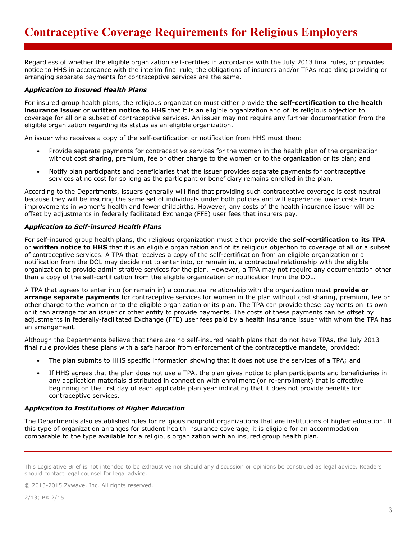Regardless of whether the eligible organization self-certifies in accordance with the July 2013 final rules, or provides notice to HHS in accordance with the interim final rule, the obligations of insurers and/or TPAs regarding providing or arranging separate payments for contraceptive services are the same.

## *Application to Insured Health Plans*

For insured group health plans, the religious organization must either provide **the self-certification to the health insurance issuer** or **written notice to HHS** that it is an eligible organization and of its religious objection to coverage for all or a subset of contraceptive services. An issuer may not require any further documentation from the eligible organization regarding its status as an eligible organization.

An issuer who receives a copy of the self-certification or notification from HHS must then:

- Provide separate payments for contraceptive services for the women in the health plan of the organization without cost sharing, premium, fee or other charge to the women or to the organization or its plan; and
- Notify plan participants and beneficiaries that the issuer provides separate payments for contraceptive services at no cost for so long as the participant or beneficiary remains enrolled in the plan.

According to the Departments, issuers generally will find that providing such contraceptive coverage is cost neutral because they will be insuring the same set of individuals under both policies and will experience lower costs from improvements in women's health and fewer childbirths. However, any costs of the health insurance issuer will be offset by adjustments in federally facilitated Exchange (FFE) user fees that insurers pay.

## *Application to Self-insured Health Plans*

For self-insured group health plans, the religious organization must either provide **the self-certification to its TPA** or **written notice to HHS** that it is an eligible organization and of its religious objection to coverage of all or a subset of contraceptive services. A TPA that receives a copy of the self-certification from an eligible organization or a notification from the DOL may decide not to enter into, or remain in, a contractual relationship with the eligible organization to provide administrative services for the plan. However, a TPA may not require any documentation other than a copy of the self-certification from the eligible organization or notification from the DOL.

A TPA that agrees to enter into (or remain in) a contractual relationship with the organization must **provide or arrange separate payments** for contraceptive services for women in the plan without cost sharing, premium, fee or other charge to the women or to the eligible organization or its plan. The TPA can provide these payments on its own or it can arrange for an issuer or other entity to provide payments. The costs of these payments can be offset by adjustments in federally-facilitated Exchange (FFE) user fees paid by a health insurance issuer with whom the TPA has an arrangement.

Although the Departments believe that there are no self-insured health plans that do not have TPAs, the July 2013 final rule provides these plans with a safe harbor from enforcement of the contraceptive mandate, provided:

- The plan submits to HHS specific information showing that it does not use the services of a TPA; and
- If HHS agrees that the plan does not use a TPA, the plan gives notice to plan participants and beneficiaries in any application materials distributed in connection with enrollment (or re-enrollment) that is effective beginning on the first day of each applicable plan year indicating that it does not provide benefits for contraceptive services.

# *Application to Institutions of Higher Education*

The Departments also established rules for religious nonprofit organizations that are institutions of higher education. If this type of organization arranges for student health insurance coverage, it is eligible for an accommodation comparable to the type available for a religious organization with an insured group health plan.

This Legislative Brief is not intended to be exhaustive nor should any discussion or opinions be construed as legal advice. Readers should contact legal counsel for legal advice.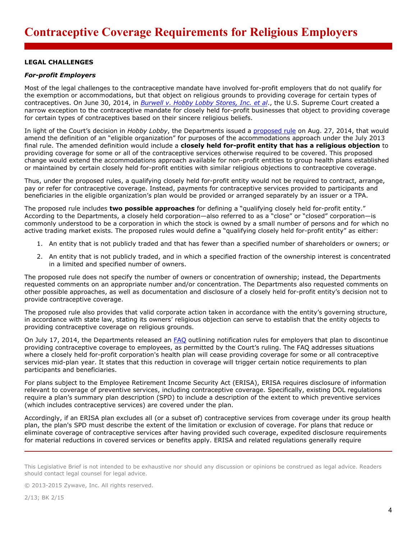## **LEGAL CHALLENGES**

#### *For-profit Employers*

Most of the legal challenges to the contraceptive mandate have involved for-profit employers that do not qualify for the exemption or accommodations, but that object on religious grounds to providing coverage for certain types of contraceptives. On June 30, 2014, in *[Burwell](http://www.supremecourt.gov/opinions/13pdf/13-354_olp1.pdf) [v.](http://www.supremecourt.gov/opinions/13pdf/13-354_olp1.pdf) [Hobby](http://www.supremecourt.gov/opinions/13pdf/13-354_olp1.pdf) [Lobby](http://www.supremecourt.gov/opinions/13pdf/13-354_olp1.pdf) [Stores,](http://www.supremecourt.gov/opinions/13pdf/13-354_olp1.pdf) [Inc.](http://www.supremecourt.gov/opinions/13pdf/13-354_olp1.pdf) [et](http://www.supremecourt.gov/opinions/13pdf/13-354_olp1.pdf) [al](http://www.supremecourt.gov/opinions/13pdf/13-354_olp1.pdf)*., the U.S. Supreme Court created a narrow exception to the contraceptive mandate for closely held for-profit businesses that object to providing coverage for certain types of contraceptives based on their sincere religious beliefs.

In light of the Court's decision in *Hobby Lobby*, the Departments issued a [proposed](https://www.federalregister.gov/articles/2014/08/27/2014-20254/coverage-of-certain-preventive-services-under-the-affordable-care-act) [rule](https://www.federalregister.gov/articles/2014/08/27/2014-20254/coverage-of-certain-preventive-services-under-the-affordable-care-act) on Aug. 27, 2014, that would amend the definition of an "eligible organization" for purposes of the accommodations approach under the July 2013 final rule. The amended definition would include a **closely held for-profit entity that has a religious objection** to providing coverage for some or all of the contraceptive services otherwise required to be covered. This proposed change would extend the accommodations approach available for non-profit entities to group health plans established or maintained by certain closely held for-profit entities with similar religious objections to contraceptive coverage.

Thus, under the proposed rules, a qualifying closely held for-profit entity would not be required to contract, arrange, pay or refer for contraceptive coverage. Instead, payments for contraceptive services provided to participants and beneficiaries in the eligible organization's plan would be provided or arranged separately by an issuer or a TPA.

The proposed rule includes **two possible approaches** for defining a "qualifying closely held for-profit entity." According to the Departments, a closely held corporation—also referred to as a "close" or "closed" corporation—is commonly understood to be a corporation in which the stock is owned by a small number of persons and for which no active trading market exists. The proposed rules would define a "qualifying closely held for-profit entity" as either:

- 1. An entity that is not publicly traded and that has fewer than a specified number of shareholders or owners; or
- 2. An entity that is not publicly traded, and in which a specified fraction of the ownership interest is concentrated in a limited and specified number of owners.

The proposed rule does not specify the number of owners or concentration of ownership; instead, the Departments requested comments on an appropriate number and/or concentration. The Departments also requested comments on other possible approaches, as well as documentation and disclosure of a closely held for-profit entity's decision not to provide contraceptive coverage.

The proposed rule also provides that valid corporate action taken in accordance with the entity's governing structure, in accordance with state law, stating its owners' religious objection can serve to establish that the entity objects to providing contraceptive coverage on religious grounds.

On July 17, 2014, the Departments released an [FAQ](http://www.dol.gov/ebsa/faqs/faq-aca20.html) outlining notification rules for employers that plan to discontinue providing contraceptive coverage to employees, as permitted by the Court's ruling. The FAQ addresses situations where a closely held for-profit corporation's health plan will cease providing coverage for some or all contraceptive services mid-plan year. It states that this reduction in coverage will trigger certain notice requirements to plan participants and beneficiaries.

For plans subject to the Employee Retirement Income Security Act (ERISA), ERISA requires disclosure of information relevant to coverage of preventive services, including contraceptive coverage. Specifically, existing DOL regulations require a plan's summary plan description (SPD) to include a description of the extent to which preventive services (which includes contraceptive services) are covered under the plan.

Accordingly, if an ERISA plan excludes all (or a subset of) contraceptive services from coverage under its group health plan, the plan's SPD must describe the extent of the limitation or exclusion of coverage. For plans that reduce or eliminate coverage of contraceptive services after having provided such coverage, expedited disclosure requirements for material reductions in covered services or benefits apply. ERISA and related regulations generally require

This Legislative Brief is not intended to be exhaustive nor should any discussion or opinions be construed as legal advice. Readers should contact legal counsel for legal advice.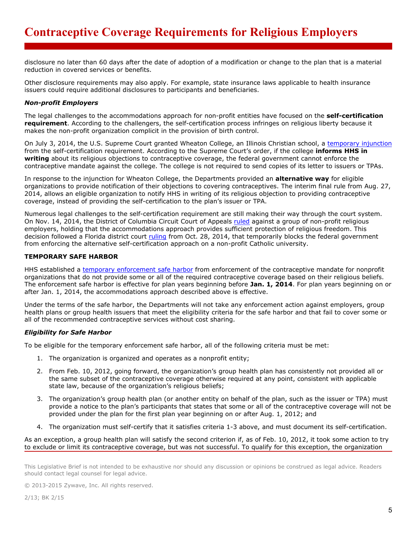disclosure no later than 60 days after the date of adoption of a modification or change to the plan that is a material reduction in covered services or benefits.

Other disclosure requirements may also apply. For example, state insurance laws applicable to health insurance issuers could require additional disclosures to participants and beneficiaries.

# *Non-profit Employers*

The legal challenges to the accommodations approach for non-profit entities have focused on the **self-certification requirement**. According to the challengers, the self-certification process infringes on religious liberty because it makes the non-profit organization complicit in the provision of birth control.

On July 3, 2014, the U.S. Supreme Court granted Wheaton College, an Illinois Christian school, a [temporary](http://www.supremecourt.gov/opinions/13pdf/13a1284_ap6c.pdf) [injunction](http://www.supremecourt.gov/opinions/13pdf/13a1284_ap6c.pdf) from the self-certification requirement. According to the Supreme Court's order, if the college **informs HHS in writing** about its religious objections to contraceptive coverage, the federal government cannot enforce the contraceptive mandate against the college. The college is not required to send copies of its letter to issuers or TPAs.

In response to the injunction for Wheaton College, the Departments provided an **alternative way** for eligible organizations to provide notification of their objections to covering contraceptives. The interim final rule from Aug. 27, 2014, allows an eligible organization to notify HHS in writing of its religious objection to providing contraceptive coverage, instead of providing the self-certification to the plan's issuer or TPA.

Numerous legal challenges to the self-certification requirement are still making their way through the court system. On Nov. 14, 2014, the District of Columbia Circuit Court of Appeals [ruled](http://www.cadc.uscourts.gov/internet/opinions.nsf/B5124BF67FED385785257D900053E80B/$file/13-5368-1522271.pdf) against a group of non-profit religious employers, holding that the accommodations approach provides sufficient protection of religious freedom. This decision followed a Florida district court [ruling](http://sblog.s3.amazonaws.com/wp-content/uploads/2014/10/ACA-contraceptie-Fla.-ruling-10-28-141.pdf) from Oct. 28, 2014, that temporarily blocks the federal government from enforcing the alternative self-certification approach on a non-profit Catholic university.

## **TEMPORARY SAFE HARBOR**

HHS established a [temporary](http://links.govdelivery.com/track?type=click&enid=ZWFzPTEmbWFpbGluZ2lkPTIwMTMwNjI4LjIwNTIwODQxJm1lc3NhZ2VpZD1NREItUFJELUJVTC0yMDEzMDYyOC4yMDUyMDg0MSZkYXRhYmFzZWlkPTEwMDEmc2VyaWFsPTE3NjQ5NDIyJmVtYWlsaWQ9ZXJpY2Euc3Rvcm1Aenl3YXZlLmNvbSZ1c2VyaWQ9ZXJpY2Euc3Rvcm1Aenl3YXZlLmNvbSZmbD0mZXh0cmE9TXVsdGl2YXJpYXRlSWQ9JiYm&&&106&&&http://www.cms.gov/CCIIO/Resources/Regulations-and-Guidance/Downloads/preventive-services-guidance-6-28-2013.pdf) [enforcement](http://links.govdelivery.com/track?type=click&enid=ZWFzPTEmbWFpbGluZ2lkPTIwMTMwNjI4LjIwNTIwODQxJm1lc3NhZ2VpZD1NREItUFJELUJVTC0yMDEzMDYyOC4yMDUyMDg0MSZkYXRhYmFzZWlkPTEwMDEmc2VyaWFsPTE3NjQ5NDIyJmVtYWlsaWQ9ZXJpY2Euc3Rvcm1Aenl3YXZlLmNvbSZ1c2VyaWQ9ZXJpY2Euc3Rvcm1Aenl3YXZlLmNvbSZmbD0mZXh0cmE9TXVsdGl2YXJpYXRlSWQ9JiYm&&&106&&&http://www.cms.gov/CCIIO/Resources/Regulations-and-Guidance/Downloads/preventive-services-guidance-6-28-2013.pdf) [safe](http://links.govdelivery.com/track?type=click&enid=ZWFzPTEmbWFpbGluZ2lkPTIwMTMwNjI4LjIwNTIwODQxJm1lc3NhZ2VpZD1NREItUFJELUJVTC0yMDEzMDYyOC4yMDUyMDg0MSZkYXRhYmFzZWlkPTEwMDEmc2VyaWFsPTE3NjQ5NDIyJmVtYWlsaWQ9ZXJpY2Euc3Rvcm1Aenl3YXZlLmNvbSZ1c2VyaWQ9ZXJpY2Euc3Rvcm1Aenl3YXZlLmNvbSZmbD0mZXh0cmE9TXVsdGl2YXJpYXRlSWQ9JiYm&&&106&&&http://www.cms.gov/CCIIO/Resources/Regulations-and-Guidance/Downloads/preventive-services-guidance-6-28-2013.pdf) [harbor](http://links.govdelivery.com/track?type=click&enid=ZWFzPTEmbWFpbGluZ2lkPTIwMTMwNjI4LjIwNTIwODQxJm1lc3NhZ2VpZD1NREItUFJELUJVTC0yMDEzMDYyOC4yMDUyMDg0MSZkYXRhYmFzZWlkPTEwMDEmc2VyaWFsPTE3NjQ5NDIyJmVtYWlsaWQ9ZXJpY2Euc3Rvcm1Aenl3YXZlLmNvbSZ1c2VyaWQ9ZXJpY2Euc3Rvcm1Aenl3YXZlLmNvbSZmbD0mZXh0cmE9TXVsdGl2YXJpYXRlSWQ9JiYm&&&106&&&http://www.cms.gov/CCIIO/Resources/Regulations-and-Guidance/Downloads/preventive-services-guidance-6-28-2013.pdf) from enforcement of the contraceptive mandate for nonprofit organizations that do not provide some or all of the required contraceptive coverage based on their religious beliefs. The enforcement safe harbor is effective for plan years beginning before **Jan. 1, 2014**. For plan years beginning on or after Jan. 1, 2014, the accommodations approach described above is effective.

Under the terms of the safe harbor, the Departments will not take any enforcement action against employers, group health plans or group health issuers that meet the eligibility criteria for the safe harbor and that fail to cover some or all of the recommended contraceptive services without cost sharing.

# *Eligibility for Safe Harbor*

To be eligible for the temporary enforcement safe harbor, all of the following criteria must be met:

- 1. The organization is organized and operates as a nonprofit entity;
- 2. From Feb. 10, 2012, going forward, the organization's group health plan has consistently not provided all or the same subset of the contraceptive coverage otherwise required at any point, consistent with applicable state law, because of the organization's religious beliefs;
- 3. The organization's group health plan (or another entity on behalf of the plan, such as the issuer or TPA) must provide a notice to the plan's participants that states that some or all of the contraceptive coverage will not be provided under the plan for the first plan year beginning on or after Aug. 1, 2012; and
- 4. The organization must self-certify that it satisfies criteria 1-3 above, and must document its self-certification.

As an exception, a group health plan will satisfy the second criterion if, as of Feb. 10, 2012, it took some action to try to exclude or limit its contraceptive coverage, but was not successful. To qualify for this exception, the organization

This Legislative Brief is not intended to be exhaustive nor should any discussion or opinions be construed as legal advice. Readers should contact legal counsel for legal advice.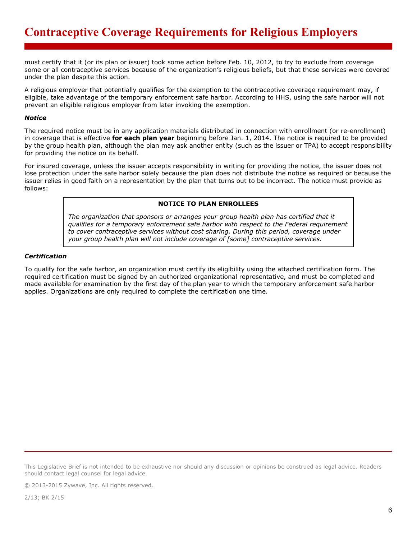must certify that it (or its plan or issuer) took some action before Feb. 10, 2012, to try to exclude from coverage some or all contraceptive services because of the organization's religious beliefs, but that these services were covered under the plan despite this action.

A religious employer that potentially qualifies for the exemption to the contraceptive coverage requirement may, if eligible, take advantage of the temporary enforcement safe harbor. According to HHS, using the safe harbor will not prevent an eligible religious employer from later invoking the exemption.

#### *Notice*

The required notice must be in any application materials distributed in connection with enrollment (or re-enrollment) in coverage that is effective **for each plan year** beginning before Jan. 1, 2014. The notice is required to be provided by the group health plan, although the plan may ask another entity (such as the issuer or TPA) to accept responsibility for providing the notice on its behalf.

For insured coverage, unless the issuer accepts responsibility in writing for providing the notice, the issuer does not lose protection under the safe harbor solely because the plan does not distribute the notice as required or because the issuer relies in good faith on a representation by the plan that turns out to be incorrect. The notice must provide as follows:

# **NOTICE TO PLAN ENROLLEES**

*The organization that sponsors or arranges your group health plan has certified that it qualifies for a temporary enforcement safe harbor with respect to the Federal requirement to cover contraceptive services without cost sharing. During this period, coverage under your group health plan will not include coverage of [some] contraceptive services.*

## *Certification*

To qualify for the safe harbor, an organization must certify its eligibility using the attached certification form. The required certification must be signed by an authorized organizational representative, and must be completed and made available for examination by the first day of the plan year to which the temporary enforcement safe harbor applies. Organizations are only required to complete the certification one time.

This Legislative Brief is not intended to be exhaustive nor should any discussion or opinions be construed as legal advice. Readers should contact legal counsel for legal advice.